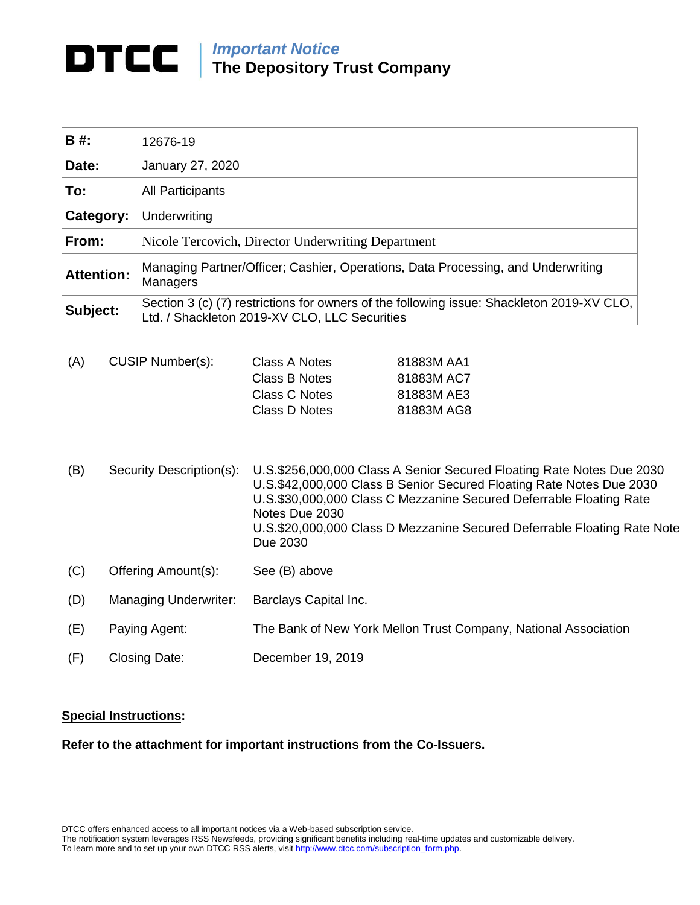## *Important Notice*

**The Depository Trust Company**

| B #:              | 12676-19                                                                                                                                   |  |
|-------------------|--------------------------------------------------------------------------------------------------------------------------------------------|--|
| Date:             | January 27, 2020                                                                                                                           |  |
| To:               | <b>All Participants</b>                                                                                                                    |  |
| Category:         | Underwriting                                                                                                                               |  |
| From:             | Nicole Tercovich, Director Underwriting Department                                                                                         |  |
| <b>Attention:</b> | Managing Partner/Officer; Cashier, Operations, Data Processing, and Underwriting<br>Managers                                               |  |
| Subject:          | Section 3 (c) (7) restrictions for owners of the following issue: Shackleton 2019-XV CLO,<br>Ltd. / Shackleton 2019-XV CLO, LLC Securities |  |

| (A) | CUSIP Number(s): | Class A Notes | 81883M AA1 |
|-----|------------------|---------------|------------|
|     |                  | Class B Notes | 81883M AC7 |
|     |                  | Class C Notes | 81883M AE3 |
|     |                  | Class D Notes | 81883M AG8 |
|     |                  |               |            |

- (B) Security Description(s): U.S.\$256,000,000 Class A Senior Secured Floating Rate Notes Due 2030 U.S.\$42,000,000 Class B Senior Secured Floating Rate Notes Due 2030 U.S.\$30,000,000 Class C Mezzanine Secured Deferrable Floating Rate Notes Due 2030 U.S.\$20,000,000 Class D Mezzanine Secured Deferrable Floating Rate Note Due 2030
- (C) Offering Amount(s): See (B) above
- (D) Managing Underwriter: Barclays Capital Inc.
- (E) Paying Agent: The Bank of New York Mellon Trust Company, National Association
- (F) Closing Date: December 19, 2019

## **Special Instructions:**

**Refer to the attachment for important instructions from the Co-Issuers.**

DTCC offers enhanced access to all important notices via a Web-based subscription service.

The notification system leverages RSS Newsfeeds, providing significant benefits including real-time updates and customizable delivery.

To learn more and to set up your own DTCC RSS alerts, visi[t http://www.dtcc.com/subscription\\_form.php.](http://www.dtcc.com/subscription_form.php)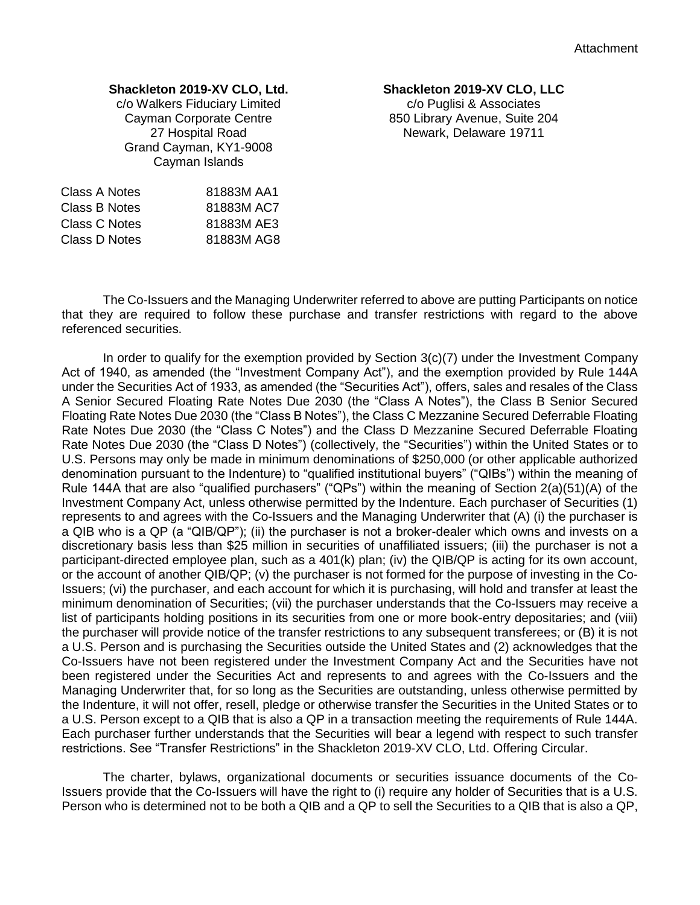## **Shackleton 2019-XV CLO, Ltd.**

c/o Walkers Fiduciary Limited Cayman Corporate Centre 27 Hospital Road Grand Cayman, KY1-9008 Cayman Islands

| 81883M AA1 |
|------------|
| 81883M AC7 |
| 81883M AE3 |
| 81883M AG8 |
|            |

## **Shackleton 2019-XV CLO, LLC**

c/o Puglisi & Associates 850 Library Avenue, Suite 204 Newark, Delaware 19711

The Co-Issuers and the Managing Underwriter referred to above are putting Participants on notice that they are required to follow these purchase and transfer restrictions with regard to the above referenced securities.

In order to qualify for the exemption provided by Section 3(c)(7) under the Investment Company Act of 1940, as amended (the "Investment Company Act"), and the exemption provided by Rule 144A under the Securities Act of 1933, as amended (the "Securities Act"), offers, sales and resales of the Class A Senior Secured Floating Rate Notes Due 2030 (the "Class A Notes"), the Class B Senior Secured Floating Rate Notes Due 2030 (the "Class B Notes"), the Class C Mezzanine Secured Deferrable Floating Rate Notes Due 2030 (the "Class C Notes") and the Class D Mezzanine Secured Deferrable Floating Rate Notes Due 2030 (the "Class D Notes") (collectively, the "Securities") within the United States or to U.S. Persons may only be made in minimum denominations of \$250,000 (or other applicable authorized denomination pursuant to the Indenture) to "qualified institutional buyers" ("QIBs") within the meaning of Rule 144A that are also "qualified purchasers" ("QPs") within the meaning of Section 2(a)(51)(A) of the Investment Company Act, unless otherwise permitted by the Indenture. Each purchaser of Securities (1) represents to and agrees with the Co-Issuers and the Managing Underwriter that (A) (i) the purchaser is a QIB who is a QP (a "QIB/QP"); (ii) the purchaser is not a broker-dealer which owns and invests on a discretionary basis less than \$25 million in securities of unaffiliated issuers; (iii) the purchaser is not a participant-directed employee plan, such as a 401(k) plan; (iv) the QIB/QP is acting for its own account, or the account of another QIB/QP; (v) the purchaser is not formed for the purpose of investing in the Co-Issuers; (vi) the purchaser, and each account for which it is purchasing, will hold and transfer at least the minimum denomination of Securities; (vii) the purchaser understands that the Co-Issuers may receive a list of participants holding positions in its securities from one or more book-entry depositaries; and (viii) the purchaser will provide notice of the transfer restrictions to any subsequent transferees; or (B) it is not a U.S. Person and is purchasing the Securities outside the United States and (2) acknowledges that the Co-Issuers have not been registered under the Investment Company Act and the Securities have not been registered under the Securities Act and represents to and agrees with the Co-Issuers and the Managing Underwriter that, for so long as the Securities are outstanding, unless otherwise permitted by the Indenture, it will not offer, resell, pledge or otherwise transfer the Securities in the United States or to a U.S. Person except to a QIB that is also a QP in a transaction meeting the requirements of Rule 144A. Each purchaser further understands that the Securities will bear a legend with respect to such transfer restrictions. See "Transfer Restrictions" in the Shackleton 2019-XV CLO, Ltd. Offering Circular.

The charter, bylaws, organizational documents or securities issuance documents of the Co-Issuers provide that the Co-Issuers will have the right to (i) require any holder of Securities that is a U.S. Person who is determined not to be both a QIB and a QP to sell the Securities to a QIB that is also a QP,